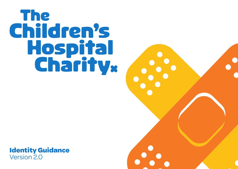



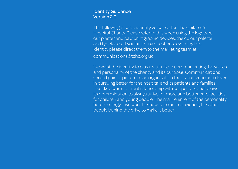### Identity Guidance Version 2.0

The following is basic identity guidance for The Children's Hospital Charity. Please refer to this when using the logotype, our plaster and paw print graphic devices, the colour palette and typefaces. If you have any questions regarding this identity please direct them to the marketing team at:

communications@tchc.org.uk

We want the identity to play a vital role in communicating the values and personality of the charity and its purpose. Communications should paint a picture of an organisation that is energetic and driven in pursuing better for the hospital and its patients and families. It seeks a warm, vibrant relationship with supporters and shows its determination to always strive for more and better care facilities for children and young people. The main element of the personality here is energy – we want to show pace and conviction, to gather people behind the drive to make it better!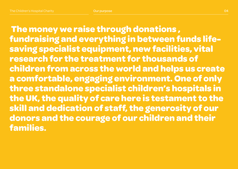**The money we raise through donations , fundraising and everything in between funds lifesaving specialist equipment, new facilities, vital research for the treatment for thousands of children from across the world and helps us create a comfortable, engaging environment. One of only three standalone specialist children's hospitals in the UK, the quality of care here is testament to the skill and dedication of staff, the generosity of our donors and the courage of our children and their families.**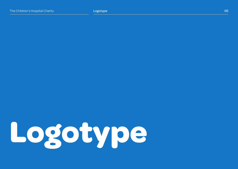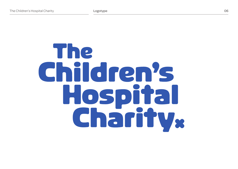# The Children's Hospital Charliv.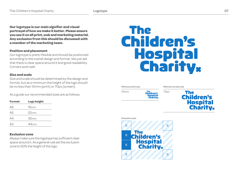**Our logotype is our main signifier and visual portrayal of how we make it better. Please ensure you use it on all print, web and marketing material. Any exclusion from this should be discussed with a member of the marketing team.** 

#### **Position and placement**

Our logotype is pretty flexible and should be positioned according to the overall design and format. We just ask that there is clear space around it and good readability. Corners work well.

#### **Size and scale**

Size and scale should be determined by the design and format, but as a minimum the height of the logo should be no less than 10mm (print) or 70px (screen).

As a guide our recommended sizes are as follows:

| <b>Format</b>  | <b>Logo height</b> |
|----------------|--------------------|
| A6             | 16mm               |
| A <sub>5</sub> | 22mm               |
| A4             | 32mm               |
| AЗ             | 44 <sub>mm</sub>   |

#### **Exclusion zone**

Always make sure the logotype has sufficient clear space around it. As a general rule set the exclusion zone to 50% the height of the logo.

## **The Children's** Hospital<br>Charity.

Minimum print size

Minimum screen size



**The Children's Hospital**<br>**Charity**<sub>\*</sub>

Exclusion zone

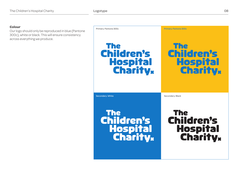#### **Colour**

Our logo should only be reproduced in blue (Pantone 300c), white or black. This will ensure consistency across everything we produce.

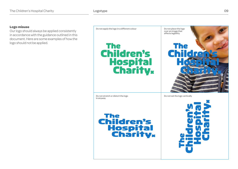#### **Logo misuse**

Our logo should always be applied consistently in accordance with the guidance outlined in this document. Here are some examples of how the logo should not be applied.

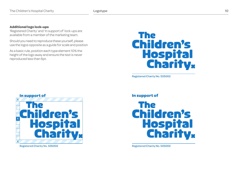#### **Additional logo lock-ups**

'Registered Charity' and 'In support of' lock-ups are available from a member of the marketing team.

Should you need to reproduce these yourself, please use the logos opposite as a guide for scale and position

As a basic rule, position each type element 10% the height of the logo away and ensure the text is never reproduced less than 6pt.

## The **Children's Hospital**<br>Charity<sub>x</sub>

Registered Charity No. 505002



Registered Charity No. 505002

#### In support of



Registered Charity No. 505002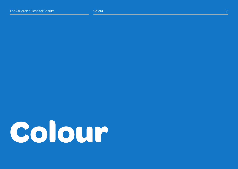# **Colour**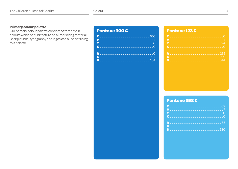#### **Primary colour palette**

Our primary colour palette consists of three main colours which should feature on all marketing material. Backgrounds, typography and logos can all be set using this palette.

### Pantone 300 C

#### Pantone 123 C

#### Pantone 298 C

| $\blacksquare$ |  |
|----------------|--|
|                |  |
|                |  |
|                |  |
|                |  |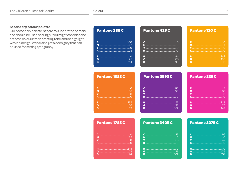#### **Secondary colour palette**

Our secondary palette is there to support the primary and should be used sparingly. You might consider one of these colours when creating tone and/or highlight within a design. We've also got a deep grey that can be used for setting typography.

| Pantone 288 C                                                                                                               | Pantone 425 C            |   | Pantone 130 C                        |  |
|-----------------------------------------------------------------------------------------------------------------------------|--------------------------|---|--------------------------------------|--|
|                                                                                                                             |                          |   |                                      |  |
| K                                                                                                                           | <u>Y ………………………………………</u> |   |                                      |  |
|                                                                                                                             |                          |   | R Manach ann an Dùbhlach an Dùbhlach |  |
|                                                                                                                             |                          |   |                                      |  |
| <b>Pantone 1585 C</b>                                                                                                       | Pantone 2592 C           |   | Pantone 225 C                        |  |
|                                                                                                                             |                          |   |                                      |  |
|                                                                                                                             |                          | ഹ |                                      |  |
|                                                                                                                             |                          |   |                                      |  |
|                                                                                                                             |                          |   |                                      |  |
|                                                                                                                             |                          |   |                                      |  |
| G<br><u> 10 March 10 March 10 March 10 March 20 March 20 March 20 March 20 March 20 March 20 March 20 March 20 March 20</u> |                          |   |                                      |  |

| <b>Pantone 1785 C</b> | Pantone 3405 C | Рa |
|-----------------------|----------------|----|
|                       | C<br>Я5        |    |
|                       |                |    |
|                       |                |    |
|                       |                |    |
|                       | R              |    |
|                       | 75<br>G        |    |
|                       | B              |    |

#### one 3275 C

| <b>C</b> 95                                             |
|---------------------------------------------------------|
|                                                         |
|                                                         |
| $\mathbf K$ . The continuum continuum contract $\Omega$ |
|                                                         |
|                                                         |
|                                                         |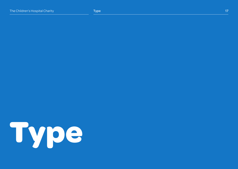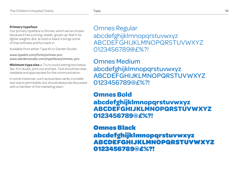#### **Primary typeface**

Our primary typeface is Omnes, which we've chosen because it has a strong, stable, 'grown up' feel in its lighter weights. But, at bold or black it brings some of that softness and fun back in.

Available from either Type Kit or Darden Studio:

www.typekit.com/fonts/omnes-pro www.dardenstudio.com/typefaces/omnes\_pro

**Minimum type size —** Try to avoid setting text below 9pt. If in doubt, print out and test. Text should be clear, readable and appropriate for the communication.

In some instances, such as business cards, a smaller text size is permitable, but should always be discussed with a member of the marketing team.

Omnes Regular abcdefghijklmnopqrstuvwxyz ABCDEFGHIJKLMNOPQRSTUVWXYZ 0123456789@£%?!

Omnes Medium abcdefghijklmnopqrstuvwxyz ABCDEFGHIJKLMNOPQRSTUVWXYZ 0123456789@£%?!

## **Omnes Bold abcdefghijklmnopqrstuvwxyz ABCDEFGHIJKLMNOPQRSTUVWXYZ 0123456789@£%?!**

## Omnes Black abcdefghijklmnopqrstuvwxyz ABCDEFGHIJKLMNOPQRSTUVWXYZ 0123456789@£%?!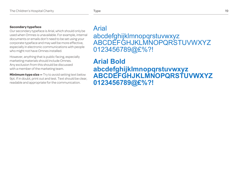#### **Secondary typeface**

Our secondary typeface is Arial, which should only be used when Omnes is unavailable. For example, internal documents or emails don't need to be set using your corporate typeface and may well be more effective, especially in electronic communications with people who might not have Omnes installed.

However, anything that is public facing, especially marketing materials should include Omnes. Any exclusion from this should be discussed with a member of the marketing team.

**Minimum type size –** Try to avoid setting text below 9pt. If in doubt, print out and test. Text should be clear, readable and appropriate for the communication.

### Arial

abcdefghijklmnopqrstuvwxyz ABCDEFGHJKLMNOPQRSTUVWXYZ 0123456789@£%?!

**Arial Bold abcdefghijklmnopqrstuvwxyz ABCDEFGHJKLMNOPQRSTUVWXYZ 0123456789@£%?!**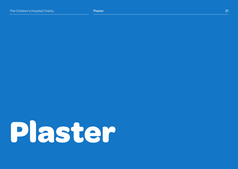# **Plaster**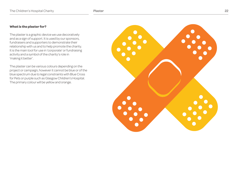#### **What is the plaster for?**

The plaster is a graphic device we use decoratively and as a sign of support. It is used by our sponsors, fundraisers and supporters to demonstrate their relationship with us and to help promote the charity. It is the main tool for use in 'corporate' or fundraising activity and a symbol of the charity's role in 'making it better'.

The plaster can be various colours depending on the project or campaign, however it cannot be blue or of the blue spectrum due to legal constraints with Blue Cross for Pets or purple such as Glasgow Children's Hospital. The primary colour will be yellow and orange.

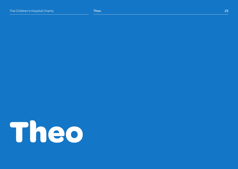# **Theo**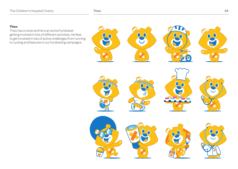#### Theo 24

#### **Theo**

Theo has a voice and he is an active fundraiser getting involved in lots of different activities. He likes to get involved in lots of active challenges from running to cycling and features in our fundraising campaigns.

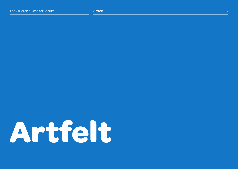# **Artfelt**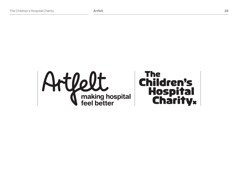